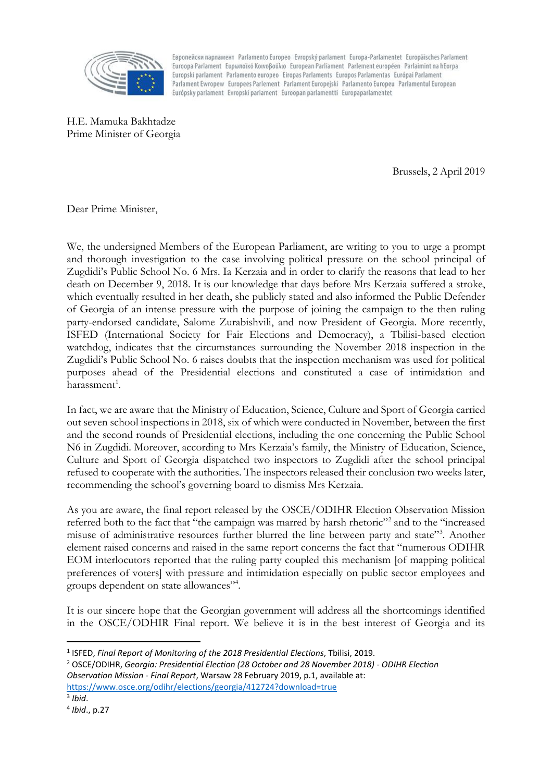

Esponeйски парламент Parlamento Europeo Evropský parlament Europa-Parlamentet Europäisches Parlament Euroopa Parlament Eupwngikó Koivoßouxio European Parliament Parlement européen Parlaimint na hEorpa Europski parlament Parlamento europeo Eiropas Parlaments Europos Parlamentas Európai Parlament Parlament Ewropew Europees Parlement Parlament Europejski Parlamento Europeu Parlamentul European Európsky parlament Evropski parlament Euroopan parlamentti Europaparlamentet

H.E. Mamuka Bakhtadze Prime Minister of Georgia

Brussels, 2 April 2019

Dear Prime Minister,

We, the undersigned Members of the European Parliament, are writing to you to urge a prompt and thorough investigation to the case involving political pressure on the school principal of Zugdidi's Public School No. 6 Mrs. Ia Kerzaia and in order to clarify the reasons that lead to her death on December 9, 2018. It is our knowledge that days before Mrs Kerzaia suffered a stroke, which eventually resulted in her death, she publicly stated and also informed the Public Defender of Georgia of an intense pressure with the purpose of joining the campaign to the then ruling party-endorsed candidate, Salome Zurabishvili, and now President of Georgia. More recently, ISFED (International Society for Fair Elections and Democracy), a Tbilisi-based election watchdog, indicates that the circumstances surrounding the November 2018 inspection in the Zugdidi's Public School No. 6 raises doubts that the inspection mechanism was used for political purposes ahead of the Presidential elections and constituted a case of intimidation and harassment<sup>1</sup>.

In fact, we are aware that the Ministry of Education, Science, Culture and Sport of Georgia carried out seven school inspections in 2018, six of which were conducted in November, between the first and the second rounds of Presidential elections, including the one concerning the Public School N6 in Zugdidi. Moreover, according to Mrs Kerzaia's family, the Ministry of Education, Science, Culture and Sport of Georgia dispatched two inspectors to Zugdidi after the school principal refused to cooperate with the authorities. The inspectors released their conclusion two weeks later, recommending the school's governing board to dismiss Mrs Kerzaia.

As you are aware, the final report released by the OSCE/ODIHR Election Observation Mission referred both to the fact that "the campaign was marred by harsh rhetoric"<sup>2</sup> and to the "increased misuse of administrative resources further blurred the line between party and state"<sup>3</sup>. Another element raised concerns and raised in the same report concerns the fact that "numerous ODIHR EOM interlocutors reported that the ruling party coupled this mechanism [of mapping political preferences of voters] with pressure and intimidation especially on public sector employees and groups dependent on state allowances"<sup>4</sup>.

It is our sincere hope that the Georgian government will address all the shortcomings identified in the OSCE/ODHIR Final report. We believe it is in the best interest of Georgia and its

 $\overline{a}$ 1 ISFED, *Final Report of Monitoring of the 2018 Presidential Elections*, Tbilisi, 2019.

<sup>2</sup> OSCE/ODIHR, *Georgia: Presidential Election (28 October and 28 November 2018) - ODIHR Election Observation Mission - Final Report*, Warsaw 28 February 2019, p.1, available at: <https://www.osce.org/odihr/elections/georgia/412724?download=true>

<sup>3</sup> *Ibid*.

<sup>4</sup> *Ibid*., p.27